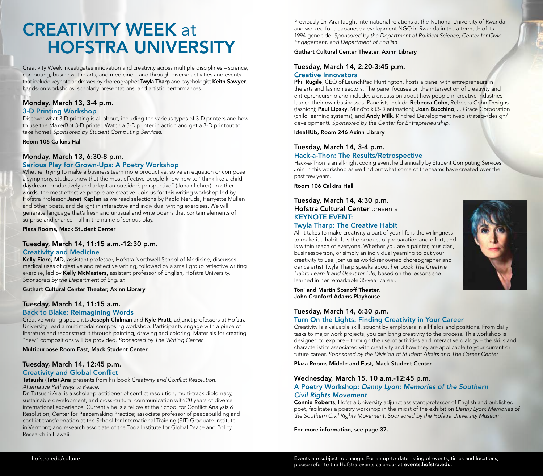# **CREATIVITY WEEK at HOFSTRA UNIVERSITY**

Creativity Week investigates innovation and creativity across multiple disciplines – science, computing, business, the arts, and medicine – and through diverse activities and events that include keynote addresses by choreographer Twyla Tharp and psychologist Keith Sawyer, hands-on workshops, scholarly presentations, and artistic performances.

#### Monday, March 13, 3-4 p.m. 3-D Printing Workshop

Discover what 3-D printing is all about, including the various types of 3-D printers and how to use the MakerBot 3-D printer. Watch a 3-D printer in action and get a 3-D printout to take home! *Sponsored by Student Computing Services.*

Room 106 Calkins Hall

### Monday, March 13, 6:30-8 p.m.

#### Serious Play for Grown-Ups: A Poetry Workshop

Whether trying to make a business team more productive, solve an equation or compose a symphony, studies show that the most effective people know how to "think like a child, daydream productively and adopt an outsider's perspective" (Jonah Lehrer). In other words, the most effective people are creative. Join us for this writing workshop led by Hofstra Professor Janet Kaplan as we read selections by Pablo Neruda, Harryette Mullen and other poets, and delight in interactive and individual writing exercises. We will generate language that's fresh and unusual and write poems that contain elements of surprise and chance – all in the name of serious play.

Plaza Rooms, Mack Student Center

#### Tuesday, March 14, 11:15 a.m.-12:30 p.m. Creativity and Medicine

Kelly Fiore, MD, assistant professor, Hofstra Northwell School of Medicine, discusses medical uses of creative and reflective writing, followed by a small group reflective writing exercise, led by Kelly McMasters, assistant professor of English, Hofstra University. *Sponsored by the Department of English.* 

Guthart Cultural Center Theater, Axinn Library

#### Tuesday, March 14, 11:15 a.m.

#### Back to Blake: Reimagining Words

Creative writing specialists Joseph Chilman and Kyle Pratt, adjunct professors at Hofstra University, lead a multimodal composing workshop. Participants engage with a piece of literature and reconstruct it through painting, drawing and coloring. Materials for creating "new" compositions will be provided. *Sponsored by The Writing Center.*

Multipurpose Room East, Mack Student Center

## Tuesday, March 14, 12:45 p.m.

Creativity and Global Conflict<br>Tatsushi (Tats) Arai presents from his book *Creativity and Conflict Resolution: Alternative Pathways to Peace.*

Dr. Tatsushi Arai is a scholar-practitioner of conflict resolution, multi-track diplomacy, sustainable development, and cross-cultural communication with 20 years of diverse international experience. Currently he is a fellow at the School for Conflict Analysis & Resolution, Center for Peacemaking Practice; associate professor of peacebuilding and conflict transformation at the School for International Training (SIT) Graduate Institute in Vermont; and research associate of the Toda Institute for Global Peace and Policy Research in Hawaii.

Previously Dr. Arai taught international relations at the National University of Rwanda and worked for a Japanese development NGO in Rwanda in the aftermath of its 1994 genocide. *Sponsored by the Department of Political Science, Center for Civic Engagement, and Department of English.* 

#### Guthart Cultural Center Theater, Axinn Library

#### Tuesday, March 14, 2:20-3:45 p.m. Creative Innovators

Phil Rugile, CEO of LaunchPad Huntington, hosts a panel with entrepreneurs in the arts and fashion sectors. The panel focuses on the intersection of creativity and entrepreneurship and includes a discussion about how people in creative industries launch their own businesses. Panelists include Rebecca Cohn, Rebecca Cohn Designs (fashion); Paul Lipsky, MindYolk (3-D animation); Joan Bucchino, J. Grace Corporation (child learning systems); and Andy Milk, Kindred Development (web strategy/design/ development). *Sponsored by the Center for Entrepreneurship.*

IdeaHUb, Room 246 Axinn Library

#### Tuesday, March 14, 3-4 p.m. Hack-a-Thon: The Results/Retrospective

Hack-a-Thon is an all-night coding event held annually by Student Computing Services. Join in this workshop as we find out what some of the teams have created over the past few years.

Room 106 Calkins Hall

#### Tuesday, March 14, 4:30 p.m. Hofstra Cultural Center presents

## KEYNOTE EVENT:

#### Twyla Tharp: The Creative Habit

All it takes to make creativity a part of your life is the willingness to make it a habit. It is the product of preparation and effort, and is within reach of everyone. Whether you are a painter, musician, businessperson, or simply an individual yearning to put your creativity to use, join us as world-renowned choreographer and dance artist Twyla Tharp speaks about her book *The Creative Habit: Learn It and Use It for Life,* based on the lessons she learned in her remarkable 35-year career.

Toni and Martin Sosnoff Theater, John Cranford Adams Playhouse

#### Tuesday, March 14, 6:30 p.m. Turn On the Lights: Finding Creativity in Your Career

Creativity is a valuable skill, sought by employers in all fields and positions. From daily tasks to major work projects, you can bring creativity to the process. This workshop is designed to explore – through the use of activities and interactive dialogs – the skills and characteristics associated with creativity and how they are applicable to your current or future career. *Sponsored by the Division of Student Affairs and The Career Center.*

Plaza Rooms Middle and East, Mack Student Center

#### Wednesday, March 15, 10 a.m.-12:45 p.m.

#### A Poetry Workshop: *Danny Lyon: Memories of the Southern Civil Rights Movement*

Connie Roberts, Hofstra University adjunct assistant professor of English and published poet, facilitates a poetry workshop in the midst of the exhibition *Danny Lyon: Memories of the Southern Civil Rights Movement*. *Sponsored by the Hofstra University Museum.*

For more information, see page 37.